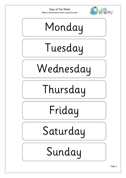Days of the Week Maths worksheets from urbrainy.com



## Monday

# Tuesday

Wednesday

## Thursday

#### Friday

Saturday

#### Sunday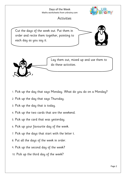#### Days of the Week Maths worksheets from urbrainy.com



#### **Activities**

Cut the days of the week out. Put them in order and recite them together, pointing to each day as you say it.





Lay them out, mixed up and use them to do these activities.

- 1. Pick up the day that says Monday. What do you do on a Monday?
- 2. Pick up the day that says Thursday.
- 3. Pick up the day that is today.
- 4. Pick up the two cards that are the weekend.
- 5. Pick up the card that was yesterday.
- 6. Pick up your favourite day of the week.
- 7. Pick up the days that start with the letter t.
- 8. Put all the days of the week in order.
- 9. Pick up the second day of the week?
- 10. Pick up the third day of the week?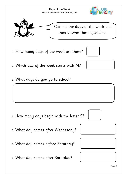